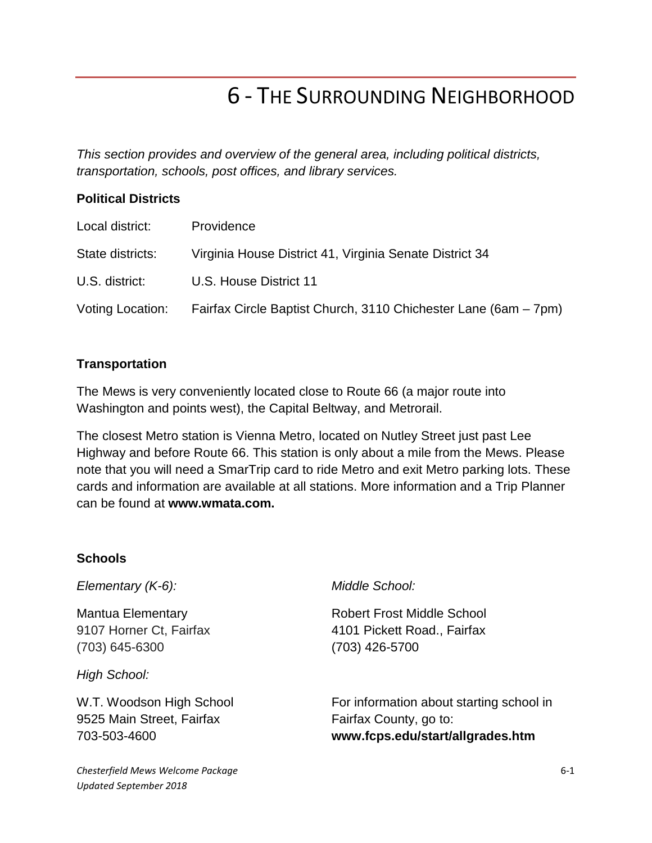# 6 - THE SURROUNDING NEIGHBORHOOD

*This section provides and overview of the general area, including political districts, transportation, schools, post offices, and library services.* 

## **Political Districts**

| Local district:  | Providence                                                      |
|------------------|-----------------------------------------------------------------|
| State districts: | Virginia House District 41, Virginia Senate District 34         |
| U.S. district:   | U.S. House District 11                                          |
| Voting Location: | Fairfax Circle Baptist Church, 3110 Chichester Lane (6am – 7pm) |

### **Transportation**

The Mews is very conveniently located close to Route 66 (a major route into Washington and points west), the Capital Beltway, and Metrorail.

The closest Metro station is Vienna Metro, located on Nutley Street just past Lee Highway and before Route 66. This station is only about a mile from the Mews. Please note that you will need a SmarTrip card to ride Metro and exit Metro parking lots. These cards and information are available at all stations. More information and a Trip Planner can be found at **www.wmata.com.**

#### **Schools**

*Elementary (K-6):* 

Mantua Elementary 9107 Horner Ct, Fairfax (703) 645-6300

*High School:*

W.T. Woodson High School 9525 Main Street, Fairfax 703-503-4600

## *Middle School:*

Robert Frost Middle School 4101 Pickett Road., Fairfax (703) 426-5700

For information about starting school in Fairfax County, go to: **www.fcps.edu/start/allgrades.htm**